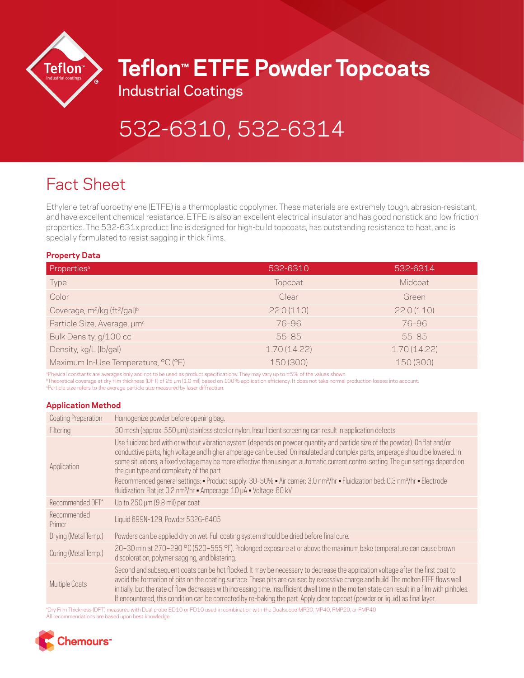

## **Teflon™ ETFE Powder Topcoats**

Industrial Coatings

# 532-6310, 532-6314

### Fact Sheet

Ethylene tetrafluoroethylene (ETFE) is a thermoplastic copolymer. These materials are extremely tough, abrasion-resistant, and have excellent chemical resistance. ETFE is also an excellent electrical insulator and has good nonstick and low friction properties. The 532-631x product line is designed for high-build topcoats, has outstanding resistance to heat, and is specially formulated to resist sagging in thick films.

#### **Property Data**

| Properties <sup>a</sup>                                          | 532-6310    | 532-6314    |
|------------------------------------------------------------------|-------------|-------------|
| Type                                                             | Topcoat     | Midcoat     |
| Color                                                            | Clear       | Green       |
| Coverage, m <sup>2</sup> /kg (ft <sup>2</sup> /gal) <sup>b</sup> | 22.0(110)   | 22.0(110)   |
| Particle Size, Average, um <sup>c</sup>                          | 76-96       | 76-96       |
| Bulk Density, g/100 cc                                           | $55 - 85$   | $55 - 85$   |
| Density, kg/L (lb/gal)                                           | 1.70(14.22) | 1.70(14.22) |
| Maximum In-Use Temperature, °C (°F)                              | 150 (300)   | 150 (300)   |

aPhysical constants are averages only and not to be used as product specifications. They may vary up to ±5% of the values shown. bTheoretical coverage at dry film thickness (DFT) of 25 μm (1.0 mil) based on 100% application efficiency. It does not take normal production losses into account. cParticle size refers to the average particle size measured by laser diffraction.

#### **Application Method**

| Coating Preparation   | Homogenize powder before opening bag.                                                                                                                                                                                                                                                                                                                                                                                                                                                                                                                                                                                                                                                             |
|-----------------------|---------------------------------------------------------------------------------------------------------------------------------------------------------------------------------------------------------------------------------------------------------------------------------------------------------------------------------------------------------------------------------------------------------------------------------------------------------------------------------------------------------------------------------------------------------------------------------------------------------------------------------------------------------------------------------------------------|
| Filtering             | 30 mesh (approx. 550 µm) stainless steel or nylon. Insufficient screening can result in application defects.                                                                                                                                                                                                                                                                                                                                                                                                                                                                                                                                                                                      |
| Application           | Use fluidized bed with or without vibration system (depends on powder quantity and particle size of the powder). On flat and/or<br>conductive parts, high voltage and higher amperage can be used. On insulated and complex parts, amperage should be lowered. In<br>some situations, a fixed voltage may be more effective than using an automatic current control setting. The gun settings depend on<br>the gun type and complexity of the part.<br>Recommended general settings: • Product supply: 30-50% • Air carrier: 3.0 nm <sup>3</sup> /hr • Fluidization bed: 0.3 nm <sup>3</sup> /hr • Electrode<br>fluidization: Flat jet 0.2 nm <sup>3</sup> /hr = Amperage: 10 µA = Voltage: 60 kV |
| Recommended DFT*      | Up to 250 µm (9.8 mil) per coat                                                                                                                                                                                                                                                                                                                                                                                                                                                                                                                                                                                                                                                                   |
| Recommended<br>Primer | Liquid 699N-129, Powder 532G-6405                                                                                                                                                                                                                                                                                                                                                                                                                                                                                                                                                                                                                                                                 |
| Drying (Metal Temp.)  | Powders can be applied dry on wet. Full coating system should be dried before final cure.                                                                                                                                                                                                                                                                                                                                                                                                                                                                                                                                                                                                         |
| Curing (Metal Temp.)  | 20−30 min at 270−290 °C (520−555 °F). Prolonged exposure at or above the maximum bake temperature can cause brown<br>discoloration, polymer sagging, and blistering.                                                                                                                                                                                                                                                                                                                                                                                                                                                                                                                              |
| Multiple Coats        | Second and subsequent coats can be hot flocked. It may be necessary to decrease the application voltage after the first coat to<br>avoid the formation of pits on the coating surface. These pits are caused by excessive charge and build. The molten ETFE flows well<br>initially, but the rate of flow decreases with increasing time. Insufficient dwell time in the molten state can result in a film with pinholes.<br>If encountered, this condition can be corrected by re-baking the part. Apply clear topcoat (powder or liquid) as final layer.                                                                                                                                        |

\*Dry Film Thickness (DFT) measured with Dual probe ED10 or FD10 used in combination with the Dualscope MP20, MP40, FMP20, or FMP40 All recommendations are based upon best knowledge.